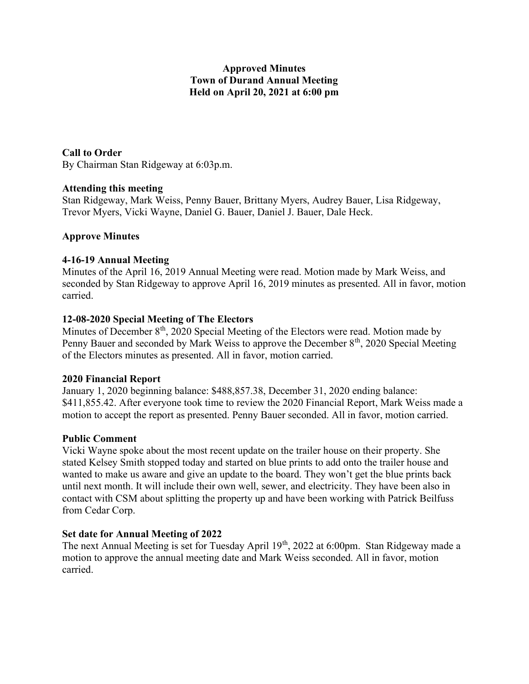## Approved Minutes Town of Durand Annual Meeting Held on April 20, 2021 at 6:00 pm

## Call to Order

By Chairman Stan Ridgeway at 6:03p.m.

## Attending this meeting

Stan Ridgeway, Mark Weiss, Penny Bauer, Brittany Myers, Audrey Bauer, Lisa Ridgeway, Trevor Myers, Vicki Wayne, Daniel G. Bauer, Daniel J. Bauer, Dale Heck.

## Approve Minutes

## 4-16-19 Annual Meeting

Minutes of the April 16, 2019 Annual Meeting were read. Motion made by Mark Weiss, and seconded by Stan Ridgeway to approve April 16, 2019 minutes as presented. All in favor, motion carried.

## 12-08-2020 Special Meeting of The Electors

Minutes of December  $8<sup>th</sup>$ , 2020 Special Meeting of the Electors were read. Motion made by Penny Bauer and seconded by Mark Weiss to approve the December  $8<sup>th</sup>$ , 2020 Special Meeting of the Electors minutes as presented. All in favor, motion carried.

## 2020 Financial Report

January 1, 2020 beginning balance: \$488,857.38, December 31, 2020 ending balance: \$411,855.42. After everyone took time to review the 2020 Financial Report, Mark Weiss made a motion to accept the report as presented. Penny Bauer seconded. All in favor, motion carried.

## Public Comment

Vicki Wayne spoke about the most recent update on the trailer house on their property. She stated Kelsey Smith stopped today and started on blue prints to add onto the trailer house and wanted to make us aware and give an update to the board. They won't get the blue prints back until next month. It will include their own well, sewer, and electricity. They have been also in contact with CSM about splitting the property up and have been working with Patrick Beilfuss from Cedar Corp.

## Set date for Annual Meeting of 2022

The next Annual Meeting is set for Tuesday April  $19<sup>th</sup>$ , 2022 at 6:00pm. Stan Ridgeway made a motion to approve the annual meeting date and Mark Weiss seconded. All in favor, motion carried.